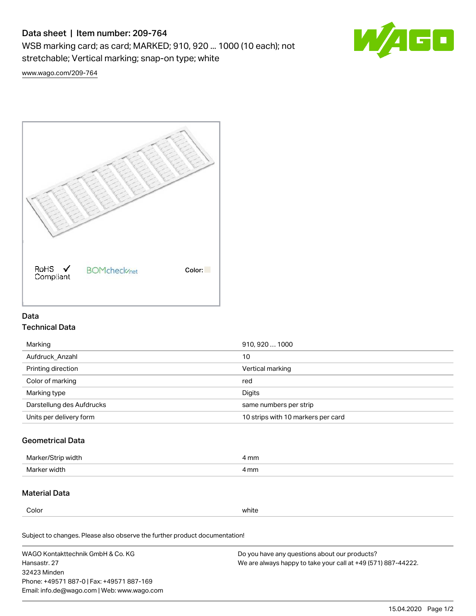# Data sheet | Item number: 209-764

WSB marking card; as card; MARKED; 910, 920 ... 1000 (10 each); not stretchable; Vertical marking; snap-on type; white



[www.wago.com/209-764](http://www.wago.com/209-764)



# Data Technical Data

| Marking                   | 910, 920  1000                     |
|---------------------------|------------------------------------|
| Aufdruck Anzahl           | 10                                 |
| Printing direction        | Vertical marking                   |
| Color of marking          | red                                |
| Marking type              | Digits                             |
| Darstellung des Aufdrucks | same numbers per strip             |
| Units per delivery form   | 10 strips with 10 markers per card |

## Geometrical Data

| Marker<br>∘width. | l mm |
|-------------------|------|
| Marker width      | 4 mm |

## Material Data

Color white

Subject to changes. Please also observe the further product documentation!

WAGO Kontakttechnik GmbH & Co. KG Hansastr. 27 32423 Minden Phone: +49571 887-0 | Fax: +49571 887-169 Email: info.de@wago.com | Web: www.wago.com Do you have any questions about our products? We are always happy to take your call at +49 (571) 887-44222.